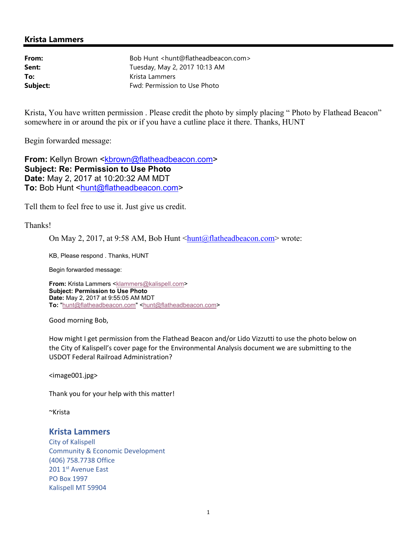## **Krista Lammers**

| From:    | Bob Hunt <hunt@flatheadbeacon.com></hunt@flatheadbeacon.com> |
|----------|--------------------------------------------------------------|
| Sent:    | Tuesday, May 2, 2017 10:13 AM                                |
| To:      | Krista Lammers                                               |
| Subject: | Fwd: Permission to Use Photo                                 |

Krista, You have written permission. Please credit the photo by simply placing "Photo by Flathead Beacon" somewhere in or around the pix or if you have a cutline place it there. Thanks, HUNT

Begin forwarded message:

**From: Kellyn Brown <kbrown@flatheadbeacon.com> Subject: Re: Permission to Use Photo Date:** May 2, 2017 at 10:20:32 AM MDT **To: Bob Hunt <hunt@flatheadbeacon.com>** 

Tell them to feel free to use it. Just give us credit.

Thanks!

On May 2, 2017, at 9:58 AM, Bob Hunt <hunt@flatheadbeacon.com> wrote:

KB, Please respond . Thanks, HUNT

Begin forwarded message:

**From:** Krista Lammers <klammers@kalispell.com> **Subject: Permission to Use Photo Date:** May 2, 2017 at 9:55:05 AM MDT **To:** "hunt@flatheadbeacon.com" <hunt@flatheadbeacon.com>

Good morning Bob,

How might I get permission from the Flathead Beacon and/or Lido Vizzutti to use the photo below on the City of Kalispell's cover page for the Environmental Analysis document we are submitting to the USDOT Federal Railroad Administration?

<image001.jpg>

Thank you for your help with this matter!

~Krista

## **Krista Lammers**

City of Kalispell Community & Economic Development (406) 758.7738 Office 201 1st Avenue East PO Box 1997 Kalispell MT 59904